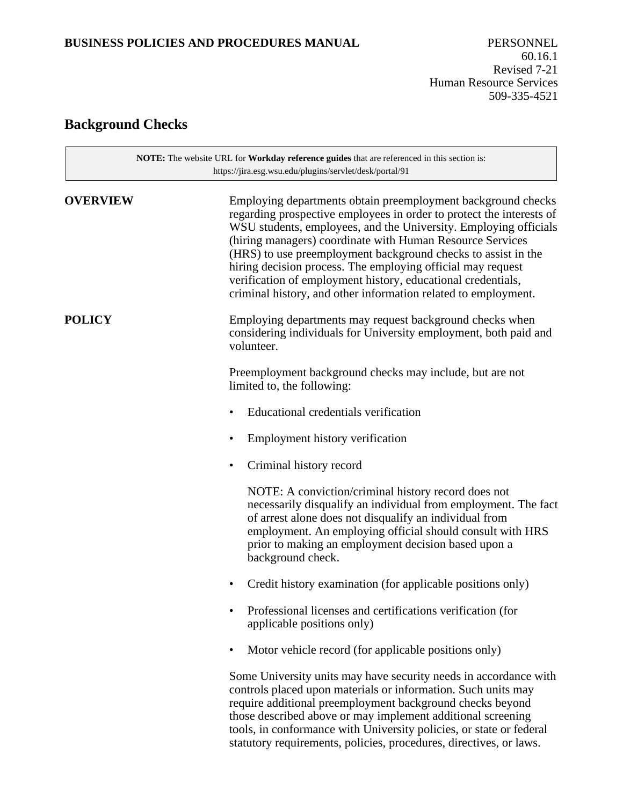### **BUSINESS POLICIES AND PROCEDURES MANUAL** PERSONNEL

# **Background Checks**

 $\overline{\phantom{0}}$ 

| NOTE: The website URL for Workday reference guides that are referenced in this section is:<br>https://jira.esg.wsu.edu/plugins/servlet/desk/portal/91 |                                                                                                                                                                                                                                                                                                                                                                                                                                                                                                                                         |  |
|-------------------------------------------------------------------------------------------------------------------------------------------------------|-----------------------------------------------------------------------------------------------------------------------------------------------------------------------------------------------------------------------------------------------------------------------------------------------------------------------------------------------------------------------------------------------------------------------------------------------------------------------------------------------------------------------------------------|--|
| <b>OVERVIEW</b>                                                                                                                                       | Employing departments obtain preemployment background checks<br>regarding prospective employees in order to protect the interests of<br>WSU students, employees, and the University. Employing officials<br>(hiring managers) coordinate with Human Resource Services<br>(HRS) to use preemployment background checks to assist in the<br>hiring decision process. The employing official may request<br>verification of employment history, educational credentials,<br>criminal history, and other information related to employment. |  |
| <b>POLICY</b>                                                                                                                                         | Employing departments may request background checks when<br>considering individuals for University employment, both paid and<br>volunteer.                                                                                                                                                                                                                                                                                                                                                                                              |  |
|                                                                                                                                                       | Preemployment background checks may include, but are not<br>limited to, the following:                                                                                                                                                                                                                                                                                                                                                                                                                                                  |  |
|                                                                                                                                                       | Educational credentials verification                                                                                                                                                                                                                                                                                                                                                                                                                                                                                                    |  |
|                                                                                                                                                       | Employment history verification                                                                                                                                                                                                                                                                                                                                                                                                                                                                                                         |  |
|                                                                                                                                                       | Criminal history record                                                                                                                                                                                                                                                                                                                                                                                                                                                                                                                 |  |
|                                                                                                                                                       | NOTE: A conviction/criminal history record does not<br>necessarily disqualify an individual from employment. The fact<br>of arrest alone does not disqualify an individual from<br>employment. An employing official should consult with HRS<br>prior to making an employment decision based upon a<br>background check.                                                                                                                                                                                                                |  |
|                                                                                                                                                       | Credit history examination (for applicable positions only)<br>٠                                                                                                                                                                                                                                                                                                                                                                                                                                                                         |  |
|                                                                                                                                                       | Professional licenses and certifications verification (for<br>applicable positions only)                                                                                                                                                                                                                                                                                                                                                                                                                                                |  |
|                                                                                                                                                       | Motor vehicle record (for applicable positions only)                                                                                                                                                                                                                                                                                                                                                                                                                                                                                    |  |
|                                                                                                                                                       | Some University units may have security needs in accordance with<br>controls placed upon materials or information. Such units may<br>require additional preemployment background checks beyond<br>those described above or may implement additional screening<br>tools, in conformance with University policies, or state or federal<br>statutory requirements, policies, procedures, directives, or laws.                                                                                                                              |  |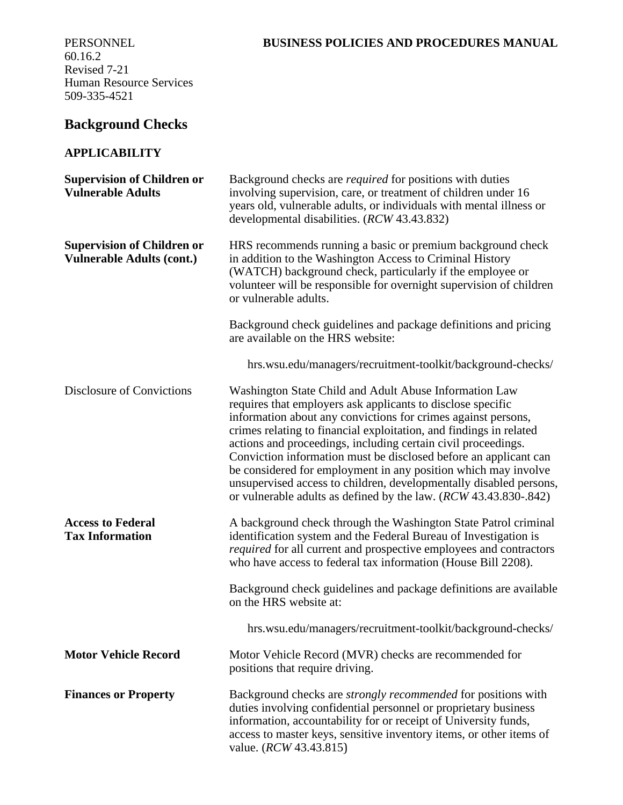## 60.16.2 Revised 7-21 Human Resource Services 509-335-4521

# **Background Checks**

### **APPLICABILITY**

| <b>Supervision of Children or</b><br><b>Vulnerable Adults</b>         | Background checks are <i>required</i> for positions with duties<br>involving supervision, care, or treatment of children under 16<br>years old, vulnerable adults, or individuals with mental illness or<br>developmental disabilities. (RCW 43.43.832)                                                                                                                                                                                                                                                                                                                                                       |
|-----------------------------------------------------------------------|---------------------------------------------------------------------------------------------------------------------------------------------------------------------------------------------------------------------------------------------------------------------------------------------------------------------------------------------------------------------------------------------------------------------------------------------------------------------------------------------------------------------------------------------------------------------------------------------------------------|
| <b>Supervision of Children or</b><br><b>Vulnerable Adults (cont.)</b> | HRS recommends running a basic or premium background check<br>in addition to the Washington Access to Criminal History<br>(WATCH) background check, particularly if the employee or<br>volunteer will be responsible for overnight supervision of children<br>or vulnerable adults.                                                                                                                                                                                                                                                                                                                           |
|                                                                       | Background check guidelines and package definitions and pricing<br>are available on the HRS website:                                                                                                                                                                                                                                                                                                                                                                                                                                                                                                          |
|                                                                       | hrs.wsu.edu/managers/recruitment-toolkit/background-checks/                                                                                                                                                                                                                                                                                                                                                                                                                                                                                                                                                   |
| Disclosure of Convictions                                             | Washington State Child and Adult Abuse Information Law<br>requires that employers ask applicants to disclose specific<br>information about any convictions for crimes against persons,<br>crimes relating to financial exploitation, and findings in related<br>actions and proceedings, including certain civil proceedings.<br>Conviction information must be disclosed before an applicant can<br>be considered for employment in any position which may involve<br>unsupervised access to children, developmentally disabled persons,<br>or vulnerable adults as defined by the law. (RCW 43.43.830-.842) |
| <b>Access to Federal</b><br><b>Tax Information</b>                    | A background check through the Washington State Patrol criminal<br>identification system and the Federal Bureau of Investigation is<br>required for all current and prospective employees and contractors<br>who have access to federal tax information (House Bill 2208).                                                                                                                                                                                                                                                                                                                                    |
|                                                                       | Background check guidelines and package definitions are available<br>on the HRS website at:                                                                                                                                                                                                                                                                                                                                                                                                                                                                                                                   |
|                                                                       | hrs.wsu.edu/managers/recruitment-toolkit/background-checks/                                                                                                                                                                                                                                                                                                                                                                                                                                                                                                                                                   |
| <b>Motor Vehicle Record</b>                                           | Motor Vehicle Record (MVR) checks are recommended for<br>positions that require driving.                                                                                                                                                                                                                                                                                                                                                                                                                                                                                                                      |
| <b>Finances or Property</b>                                           | Background checks are strongly recommended for positions with<br>duties involving confidential personnel or proprietary business<br>information, accountability for or receipt of University funds,<br>access to master keys, sensitive inventory items, or other items of<br>value. ( <i>RCW</i> 43.43.815)                                                                                                                                                                                                                                                                                                  |

### PERSONNEL **BUSINESS POLICIES AND PROCEDURES MANUAL**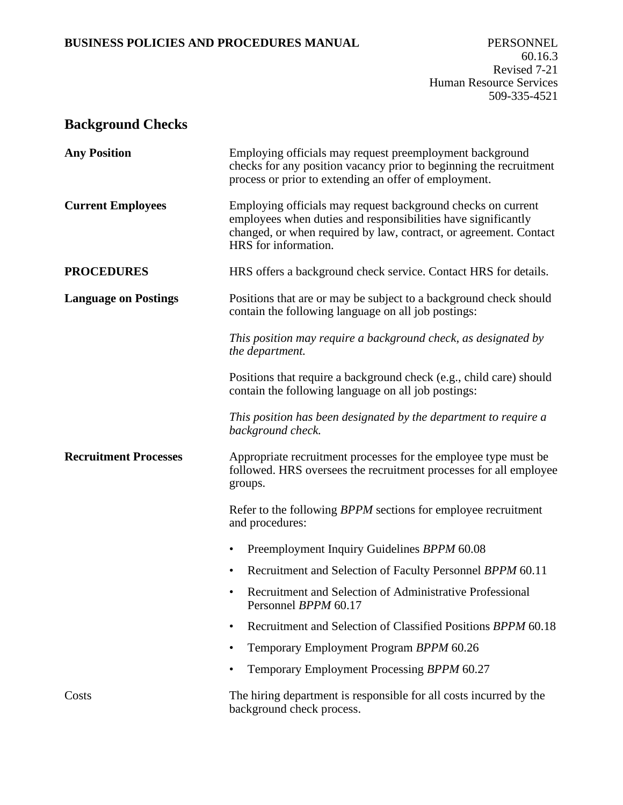### **BUSINESS POLICIES AND PROCEDURES MANUAL** PERSONNEL

# **Background Checks**

<span id="page-2-0"></span>

| <b>Any Position</b>          | Employing officials may request preemployment background<br>checks for any position vacancy prior to beginning the recruitment<br>process or prior to extending an offer of employment.                                    |
|------------------------------|----------------------------------------------------------------------------------------------------------------------------------------------------------------------------------------------------------------------------|
| <b>Current Employees</b>     | Employing officials may request background checks on current<br>employees when duties and responsibilities have significantly<br>changed, or when required by law, contract, or agreement. Contact<br>HRS for information. |
| <b>PROCEDURES</b>            | HRS offers a background check service. Contact HRS for details.                                                                                                                                                            |
| <b>Language on Postings</b>  | Positions that are or may be subject to a background check should<br>contain the following language on all job postings:                                                                                                   |
|                              | This position may require a background check, as designated by<br>the department.                                                                                                                                          |
|                              | Positions that require a background check (e.g., child care) should<br>contain the following language on all job postings:                                                                                                 |
|                              | This position has been designated by the department to require a<br>background check.                                                                                                                                      |
| <b>Recruitment Processes</b> | Appropriate recruitment processes for the employee type must be<br>followed. HRS oversees the recruitment processes for all employee<br>groups.                                                                            |
|                              | Refer to the following <i>BPPM</i> sections for employee recruitment<br>and procedures:                                                                                                                                    |
|                              | Preemployment Inquiry Guidelines BPPM 60.08                                                                                                                                                                                |
|                              | Recruitment and Selection of Faculty Personnel BPPM 60.11<br>٠                                                                                                                                                             |
|                              | Recruitment and Selection of Administrative Professional<br>Personnel BPPM 60.17                                                                                                                                           |
|                              | Recruitment and Selection of Classified Positions BPPM 60.18                                                                                                                                                               |
|                              | Temporary Employment Program BPPM 60.26<br>٠                                                                                                                                                                               |
|                              | Temporary Employment Processing BPPM 60.27<br>٠                                                                                                                                                                            |
| Costs                        | The hiring department is responsible for all costs incurred by the<br>background check process.                                                                                                                            |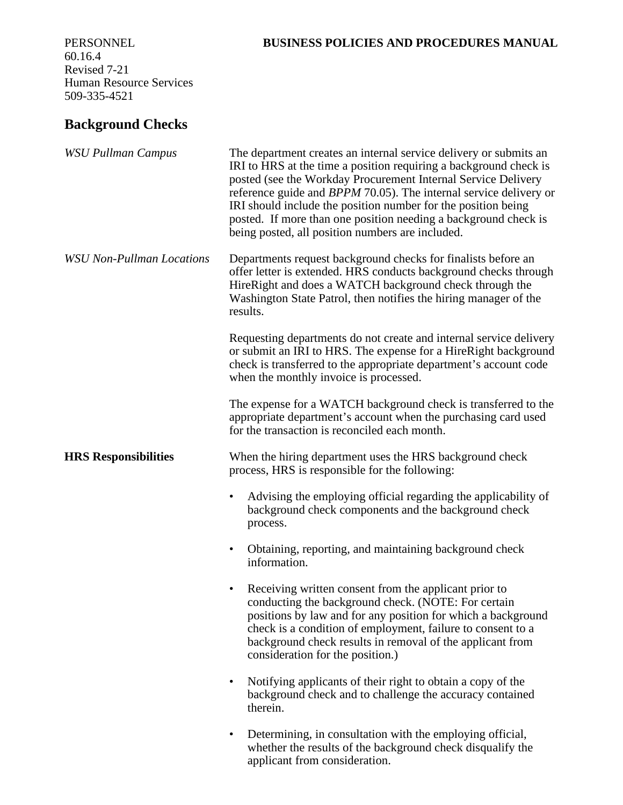### 60.16.4 Revised 7-21 Human Resource Services 509-335-4521

### PERSONNEL **BUSINESS POLICIES AND PROCEDURES MANUAL**

# **Background Checks**

| <b>WSU Pullman Campus</b>        | The department creates an internal service delivery or submits an<br>IRI to HRS at the time a position requiring a background check is<br>posted (see the Workday Procurement Internal Service Delivery<br>reference guide and BPPM 70.05). The internal service delivery or<br>IRI should include the position number for the position being<br>posted. If more than one position needing a background check is<br>being posted, all position numbers are included. |
|----------------------------------|----------------------------------------------------------------------------------------------------------------------------------------------------------------------------------------------------------------------------------------------------------------------------------------------------------------------------------------------------------------------------------------------------------------------------------------------------------------------|
| <b>WSU Non-Pullman Locations</b> | Departments request background checks for finalists before an<br>offer letter is extended. HRS conducts background checks through<br>HireRight and does a WATCH background check through the<br>Washington State Patrol, then notifies the hiring manager of the<br>results.                                                                                                                                                                                         |
|                                  | Requesting departments do not create and internal service delivery<br>or submit an IRI to HRS. The expense for a HireRight background<br>check is transferred to the appropriate department's account code<br>when the monthly invoice is processed.                                                                                                                                                                                                                 |
|                                  | The expense for a WATCH background check is transferred to the<br>appropriate department's account when the purchasing card used<br>for the transaction is reconciled each month.                                                                                                                                                                                                                                                                                    |
| <b>HRS Responsibilities</b>      | When the hiring department uses the HRS background check<br>process, HRS is responsible for the following:                                                                                                                                                                                                                                                                                                                                                           |
|                                  | Advising the employing official regarding the applicability of<br>٠<br>background check components and the background check<br>process.                                                                                                                                                                                                                                                                                                                              |
|                                  | Obtaining, reporting, and maintaining background check<br>٠<br>information.                                                                                                                                                                                                                                                                                                                                                                                          |
|                                  | Receiving written consent from the applicant prior to<br>٠<br>conducting the background check. (NOTE: For certain<br>positions by law and for any position for which a background<br>check is a condition of employment, failure to consent to a<br>background check results in removal of the applicant from<br>consideration for the position.)                                                                                                                    |
|                                  | Notifying applicants of their right to obtain a copy of the<br>٠<br>background check and to challenge the accuracy contained<br>therein.                                                                                                                                                                                                                                                                                                                             |
|                                  | Determining, in consultation with the employing official,<br>٠<br>whether the results of the background check disqualify the<br>applicant from consideration.                                                                                                                                                                                                                                                                                                        |